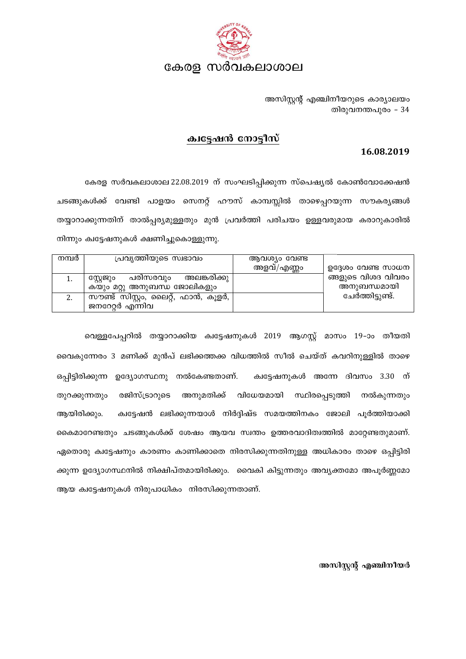

അസിസ്റ്റന്റ് എഞ്ചിനീയറുടെ കാര്യാലയം തിരുവനന്തപുരം - 34

## ക്വട്ടേഷൻ നോട്ടീസ്

## 16.08.2019

കേരള സർവകലാശാല 22.08.2019 ന് സംഘടിപ്പിക്കുന്ന സ്പെഷ്യൽ കോൺവോക്കേഷൻ ചടങ്ങുകൾക്ക് വേണ്ടി പാളയം സെനറ്റ് ഹൗസ് കാമ്പസ്സിൽ താഴെപ്പറയുന്ന സൗകര്യങ്ങൾ തയ്യാറാക്കുന്നതിന് താൽപ്പര്യമുള്ളതും മുൻ പ്രവർത്തി പരിചയം ഉള്ളവരുമായ കരാറുകാരിൽ നിന്നും ക്വട്ടേഷനുകൾ ക്ഷണിച്ചുകൊള്ളുന്നു.

| നമ്പർ | പ്രവൃത്തിയുടെ സ്വഭാവം                             | ആവശ്യം വേണ്ട |                    |
|-------|---------------------------------------------------|--------------|--------------------|
|       |                                                   | അളവ്/എണ്ണം   | ഉദ്ദേശം വേണ്ട സാധന |
|       | അലങ്കരിക്കു <sub>1</sub><br>പരിസരവും<br>സ്റ്റേജും |              | ങ്ങളുടെ വിശദ വിവരം |
|       | കയും മറ്റു അനുബന്ധ ജോലികളും                       |              | അനുബന്ധമായി        |
| 2.    | സൗണ്ട് സിസ്റ്റം, ലൈറ്റ്, ഫാൻ, കൂളർ,               |              | ചേർത്തിട്ടുണ്ട്.   |
|       | ജനറേറ്റർ എന്നിവ                                   |              |                    |

വെള്ളപേപ്പറിൽ തയ്യാറാക്കിയ ക്വട്ടേഷനുകൾ 2019 ആഗസ്റ്റ് മാസം 19-ാം തീയതി വൈകുന്നേരം 3 മണിക്ക് മുൻപ് ലഭിക്കത്തക്ക വിധത്തിൽ സീൽ ചെയ്ത് കവറിനുള്ളിൽ താഴെ ഒപ്പിട്ടിരിക്കുന്ന ഉദ്യോഗസ്ഥനു നൽകേണ്ടതാണ്. ക്വട്ടേഷനുകൾ അന്നേ ദിവസം 3.30 ന് അനുമതിക്ക് തുറക്കുന്നതും രജിസ്ട്രാറുടെ വിധേയമായി സ്ഥിരപ്പെടുത്തി നൽകുന്നതും ക്വട്ടേഷൻ ലഭിക്കുന്നയാൾ നിർദ്ദിഷ്ട സമയത്തിനകം ജോലി പൂർത്തിയാക്കി ആയിരിക്കും. കൈമാറേണ്ടതും ചടങ്ങുകൾക്ക് ശേഷം ആയവ സ്വന്തം ഉത്തരവാദിത്വത്തിൽ മാറ്റേണ്ടതുമാണ്. ഏതൊരു ക്വട്ടേഷനും കാരണം കാണിക്കാതെ നിരസിക്കുന്നതിനുള്ള അധികാരം താഴെ ഒപ്പിട്ടിരി ക്കുന്ന ഉദ്യോഗസ്ഥനിൽ നിക്ഷിപ്തമായിരിക്കും. വൈകി കിട്ടുന്നതും അവൃക്തമോ അപൂർണ്ണമോ ആയ ക്വട്ടേഷനുകൾ നിരുപാധികം നിരസിക്കുന്നതാണ്.

അസിസ്റ്റന്റ് എഞ്ചിനീയർ